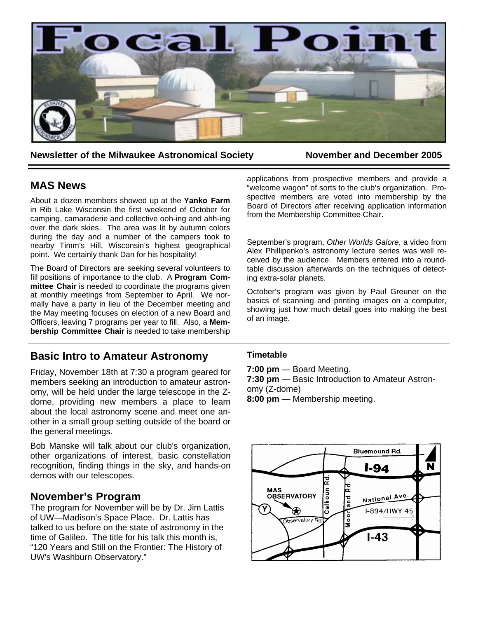

**Newsletter of the Milwaukee Astronomical Society Movember and December 2005** 

## **MAS News**

About a dozen members showed up at the **Yanko Farm** in Rib Lake Wisconsin the first weekend of October for camping, camaraderie and collective ooh-ing and ahh-ing over the dark skies. The area was lit by autumn colors during the day and a number of the campers took to nearby Timm's Hill, Wisconsin's highest geographical point. We certainly thank Dan for his hospitality!

The Board of Directors are seeking several volunteers to fill positions of importance to the club. A **Program Committee Chair** is needed to coordinate the programs given at monthly meetings from September to April. We normally have a party in lieu of the December meeting and the May meeting focuses on election of a new Board and Officers, leaving 7 programs per year to fill. Also, a **Membership Committee Chair** is needed to take membership

# **Basic Intro to Amateur Astronomy**

Friday, November 18th at 7:30 a program geared for members seeking an introduction to amateur astronomy, will be held under the large telescope in the Zdome, providing new members a place to learn about the local astronomy scene and meet one another in a small group setting outside of the board or the general meetings.

Bob Manske will talk about our club's organization, other organizations of interest, basic constellation recognition, finding things in the sky, and hands-on demos with our telescopes.

## **November's Program**

The program for November will be by Dr. Jim Lattis of UW—Madison's Space Place. Dr. Lattis has talked to us before on the state of astronomy in the time of Galileo. The title for his talk this month is, "120 Years and Still on the Frontier: The History of UW's Washburn Observatory."

applications from prospective members and provide a "welcome wagon" of sorts to the club's organization. Prospective members are voted into membership by the Board of Directors after receiving application information from the Membership Committee Chair.

September's program, *Other Worlds Galore*, a video from Alex Phillipenko's astronomy lecture series was well received by the audience. Members entered into a roundtable discussion afterwards on the techniques of detecting extra-solar planets.

October's program was given by Paul Greuner on the basics of scanning and printing images on a computer, showing just how much detail goes into making the best of an image.

## **Timetable**

**7:00 pm** — Board Meeting.

**7:30 pm** — Basic Introduction to Amateur Astronomy (Z-dome)

**8:00 pm** — Membership meeting.

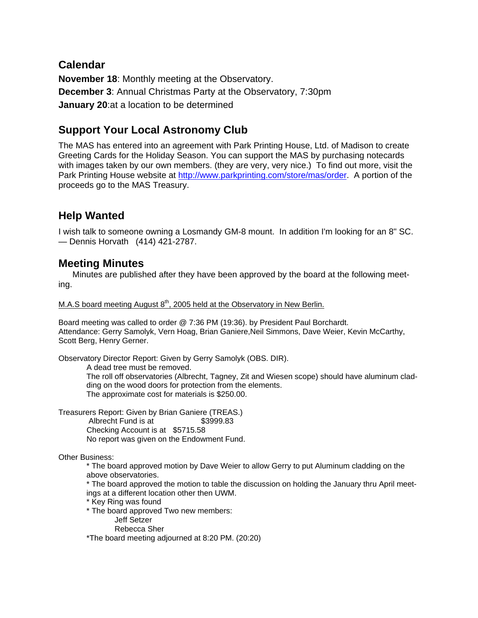# **Calendar**

**November 18**: Monthly meeting at the Observatory. **December 3**: Annual Christmas Party at the Observatory, 7:30pm **January 20**:at a location to be determined

# **Support Your Local Astronomy Club**

The MAS has entered into an agreement with Park Printing House, Ltd. of Madison to create Greeting Cards for the Holiday Season. You can support the MAS by purchasing notecards with images taken by our own members. (they are very, very nice.) To find out more, visit the Park Printing House website at http://www.parkprinting.com/store/mas/order. A portion of the proceeds go to the MAS Treasury.

# **Help Wanted**

I wish talk to someone owning a Losmandy GM-8 mount. In addition I'm looking for an 8" SC. — Dennis Horvath (414) 421-2787.

# **Meeting Minutes**

Minutes are published after they have been approved by the board at the following meeting.

M.A.S board meeting August  $8<sup>th</sup>$ , 2005 held at the Observatory in New Berlin.

Board meeting was called to order @ 7:36 PM (19:36). by President Paul Borchardt. Attendance: Gerry Samolyk, Vern Hoag, Brian Ganiere,Neil Simmons, Dave Weier, Kevin McCarthy, Scott Berg, Henry Gerner.

Observatory Director Report: Given by Gerry Samolyk (OBS. DIR).

A dead tree must be removed.

The roll off observatories (Albrecht, Tagney, Zit and Wiesen scope) should have aluminum cladding on the wood doors for protection from the elements. The approximate cost for materials is \$250.00.

Treasurers Report: Given by Brian Ganiere (TREAS.) Albrecht Fund is at \$3999.83 Checking Account is at \$5715.58 No report was given on the Endowment Fund.

Other Business:

\* The board approved motion by Dave Weier to allow Gerry to put Aluminum cladding on the above observatories.

\* The board approved the motion to table the discussion on holding the January thru April meetings at a different location other then UWM.

- \* Key Ring was found
- \* The board approved Two new members:
	- Jeff Setzer
		- Rebecca Sher

\*The board meeting adjourned at 8:20 PM. (20:20)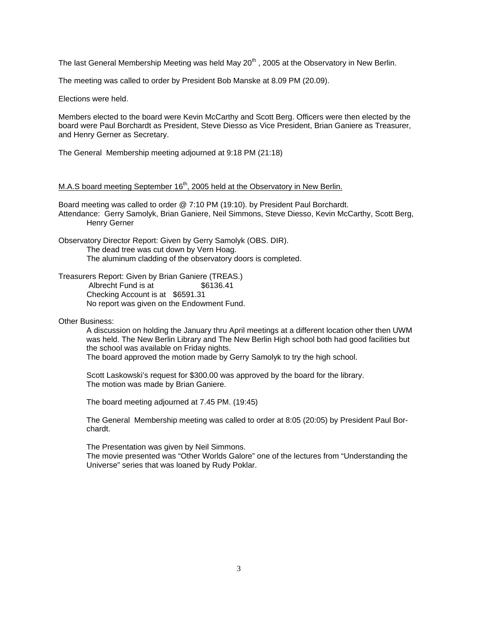The last General Membership Meeting was held May  $20<sup>th</sup>$ , 2005 at the Observatory in New Berlin.

The meeting was called to order by President Bob Manske at 8.09 PM (20.09).

Elections were held.

Members elected to the board were Kevin McCarthy and Scott Berg. Officers were then elected by the board were Paul Borchardt as President, Steve Diesso as Vice President, Brian Ganiere as Treasurer, and Henry Gerner as Secretary.

The General Membership meeting adjourned at 9:18 PM (21:18)

### M.A.S board meeting September  $16<sup>th</sup>$ , 2005 held at the Observatory in New Berlin.

Board meeting was called to order @ 7:10 PM (19:10). by President Paul Borchardt. Attendance: Gerry Samolyk, Brian Ganiere, Neil Simmons, Steve Diesso, Kevin McCarthy, Scott Berg, Henry Gerner

Observatory Director Report: Given by Gerry Samolyk (OBS. DIR). The dead tree was cut down by Vern Hoag. The aluminum cladding of the observatory doors is completed.

Treasurers Report: Given by Brian Ganiere (TREAS.) Albrecht Fund is at \$6136.41 Checking Account is at \$6591.31 No report was given on the Endowment Fund.

Other Business:

A discussion on holding the January thru April meetings at a different location other then UWM was held. The New Berlin Library and The New Berlin High school both had good facilities but the school was available on Friday nights.

The board approved the motion made by Gerry Samolyk to try the high school.

Scott Laskowski's request for \$300.00 was approved by the board for the library. The motion was made by Brian Ganiere.

The board meeting adjourned at 7.45 PM. (19:45)

The General Membership meeting was called to order at 8:05 (20:05) by President Paul Borchardt.

The Presentation was given by Neil Simmons.

The movie presented was "Other Worlds Galore" one of the lectures from "Understanding the Universe" series that was loaned by Rudy Poklar.